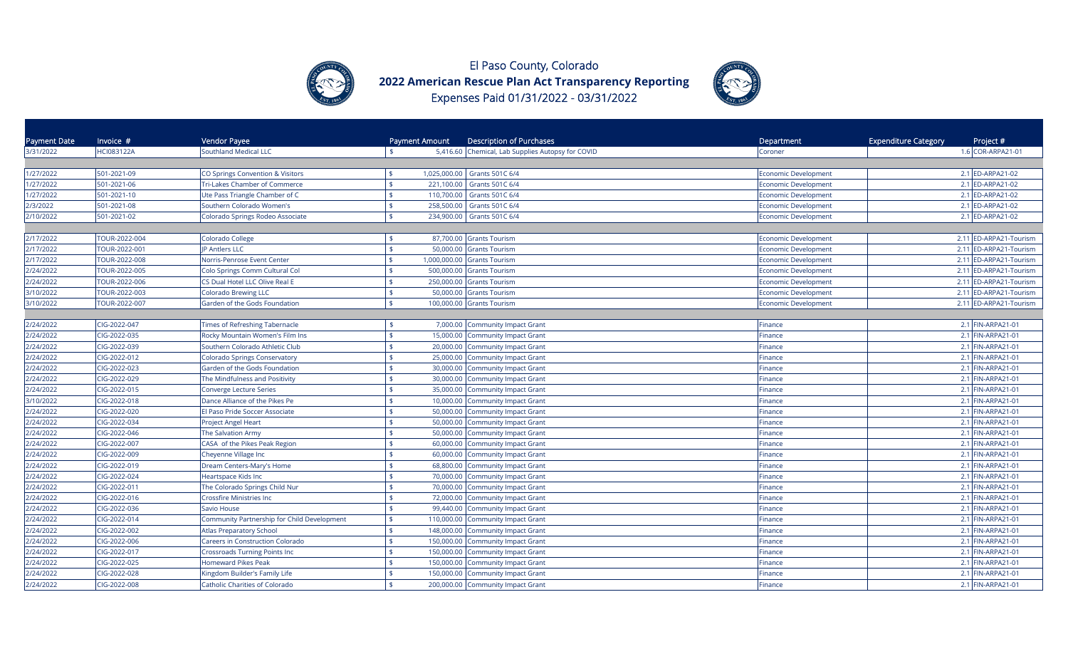



| Payment Date | Invoice #         | Vendor Payee                                | Payment Amount      | <b>Description of Purchases</b>                   | Department                  | <b>Expenditure Category</b><br>Project # |
|--------------|-------------------|---------------------------------------------|---------------------|---------------------------------------------------|-----------------------------|------------------------------------------|
| 3/31/2022    | <b>HCI083122A</b> | <b>Southland Medical LLC</b>                | \$                  | 5,416.60 Chemical, Lab Supplies Autopsy for COVID | Coroner                     | 1.6 COR-ARPA21-01                        |
|              |                   |                                             |                     |                                                   |                             |                                          |
| 1/27/2022    | 501-2021-09       | CO Springs Convention & Visitors            | \$                  | 1,025,000.00 Grants 501C 6/4                      | <b>Economic Development</b> | 2.1 ED-ARPA21-02                         |
| 1/27/2022    | 501-2021-06       | Tri-Lakes Chamber of Commerce               | \$<br>221,100.00    | Grants 501C 6/4                                   | Economic Development        | 2.1 ED-ARPA21-02                         |
| 1/27/2022    | 501-2021-10       | Ute Pass Triangle Chamber of C              | $\frac{4}{3}$       | 110,700.00 Grants 501C 6/4                        | <b>Economic Development</b> | 2.1 ED-ARPA21-02                         |
| 2/3/2022     | 501-2021-08       | Southern Colorado Women's                   | \$                  | 258,500.00 Grants 501C 6/4                        | <b>Economic Development</b> | 2.1 ED-ARPA21-02                         |
| 2/10/2022    | 501-2021-02       | Colorado Springs Rodeo Associate            | $\frac{1}{2}$       | 234,900.00 Grants 501C 6/4                        | Economic Development        | 2.1 ED-ARPA21-02                         |
|              |                   |                                             |                     |                                                   |                             |                                          |
| 2/17/2022    | TOUR-2022-004     | Colorado College                            |                     | 87,700.00 Grants Tourism                          | <b>Economic Development</b> | 2.11 ED-ARPA21-Tourism                   |
| 2/17/2022    | TOUR-2022-001     | <b>IP Antlers LLC</b>                       |                     | 50,000.00 Grants Tourism                          | <b>Economic Development</b> | 2.11 ED-ARPA21-Tourism                   |
| 2/17/2022    | TOUR-2022-008     | Norris-Penrose Event Center                 | $\frac{4}{5}$       | 1,000,000.00 Grants Tourism                       | <b>Economic Development</b> | 2.11 ED-ARPA21-Tourism                   |
| 2/24/2022    | TOUR-2022-005     | Colo Springs Comm Cultural Col              |                     | 500,000.00 Grants Tourism                         | <b>Economic Development</b> | 2.11 ED-ARPA21-Tourism                   |
| 2/24/2022    | TOUR-2022-006     | CS Dual Hotel LLC Olive Real E              |                     | 250,000.00 Grants Tourism                         | <b>Economic Development</b> | 2.11 ED-ARPA21-Tourism                   |
| 3/10/2022    | TOUR-2022-003     | <b>Colorado Brewing LLC</b>                 | \$                  | 50,000.00 Grants Tourism                          | Economic Development        | 2.11 ED-ARPA21-Tourism                   |
| 3/10/2022    | TOUR-2022-007     | Garden of the Gods Foundation               | \$                  | 100,000.00 Grants Tourism                         | Economic Development        | 2.11 ED-ARPA21-Tourism                   |
|              |                   |                                             |                     |                                                   |                             |                                          |
| 2/24/2022    | CIG-2022-047      | Times of Refreshing Tabernacle              | $\ddot{\bm{\zeta}}$ | 7,000.00 Community Impact Grant                   | Finance                     | 2.1 FIN-ARPA21-01                        |
| 2/24/2022    | CIG-2022-035      | Rocky Mountain Women's Film Ins             | \$                  | 15,000.00 Community Impact Grant                  | Finance                     | 2.1 FIN-ARPA21-01                        |
| 2/24/2022    | CIG-2022-039      | Southern Colorado Athletic Club             | \$                  | 20,000.00 Community Impact Grant                  | Finance                     | 2.1 FIN-ARPA21-01                        |
| 2/24/2022    | CIG-2022-012      | <b>Colorado Springs Conservatory</b>        | $\mathbf{s}$        | 25,000.00 Community Impact Grant                  | Finance                     | 2.1 FIN-ARPA21-01                        |
| 2/24/2022    | CIG-2022-023      | Garden of the Gods Foundation               | $\frac{1}{2}$       | 30,000.00 Community Impact Grant                  | Finance                     | 2.1 FIN-ARPA21-01                        |
| 2/24/2022    | CIG-2022-029      | The Mindfulness and Positivity              | \$                  | 30,000.00 Community Impact Grant                  | Finance                     | 2.1 FIN-ARPA21-01                        |
| 2/24/2022    | CIG-2022-015      | Converge Lecture Series                     | \$<br>35,000.00     | <b>Community Impact Grant</b>                     | Finance                     | 2.1 FIN-ARPA21-01                        |
| 3/10/2022    | CIG-2022-018      | Dance Alliance of the Pikes Pe              | $\mathbf{s}$        | 10,000.00 Community Impact Grant                  | Finance                     | 2.1 FIN-ARPA21-01                        |
| 2/24/2022    | CIG-2022-020      | El Paso Pride Soccer Associate              |                     | 50,000.00 Community Impact Grant                  | -inance                     | 2.1 FIN-ARPA21-01                        |
| 2/24/2022    | CIG-2022-034      | Project Angel Heart                         | 50,000.00<br>\$     | <b>Community Impact Grant</b>                     | Finance                     | 2.1 FIN-ARPA21-01                        |
| 2/24/2022    | CIG-2022-046      | The Salvation Army                          | 50,000.00           | <b>Community Impact Grant</b>                     | Finance                     | 2.1 FIN-ARPA21-01                        |
| 2/24/2022    | CIG-2022-007      | CASA of the Pikes Peak Region               | \$                  | 60,000.00 Community Impact Grant                  | Finance                     | 2.1 FIN-ARPA21-01                        |
| 2/24/2022    | CIG-2022-009      | Cheyenne Village Inc                        |                     | 60,000.00 Community Impact Grant                  | Finance                     | 2.1 FIN-ARPA21-01                        |
| 2/24/2022    | CIG-2022-019      | Dream Centers-Mary's Home                   | \$                  | 68,800.00 Community Impact Grant                  | Finance                     | 2.1 FIN-ARPA21-01                        |
| 2/24/2022    | CIG-2022-024      | Heartspace Kids Inc                         | 70,000.00           | Community Impact Grant                            | Finance                     | 2.1 FIN-ARPA21-01                        |
| 2/24/2022    | CIG-2022-011      | The Colorado Springs Child Nur              | \$                  | 70,000.00 Community Impact Grant                  | Finance                     | 2.1 FIN-ARPA21-01                        |
| 2/24/2022    | CIG-2022-016      | <b>Crossfire Ministries Inc</b>             |                     | 72,000.00 Community Impact Grant                  | Finance                     | 2.1 FIN-ARPA21-01                        |
| 2/24/2022    | CIG-2022-036      | <b>Savio House</b>                          | ¢                   | 99,440.00 Community Impact Grant                  | Finance                     | 2.1 FIN-ARPA21-01                        |
| 2/24/2022    | CIG-2022-014      | Community Partnership for Child Development |                     | 110,000.00 Community Impact Grant                 | Finance                     | 2.1 FIN-ARPA21-01                        |
| 2/24/2022    | CIG-2022-002      | <b>Atlas Preparatory School</b>             | $\mathbf{\hat{S}}$  | 148,000.00 Community Impact Grant                 | Finance                     | 2.1 FIN-ARPA21-01                        |
| 2/24/2022    | CIG-2022-006      | Careers in Construction Colorado            |                     | 150,000.00 Community Impact Grant                 | Finance                     | 2.1 FIN-ARPA21-01                        |
| 2/24/2022    | CIG-2022-017      | <b>Crossroads Turning Points Inc</b>        |                     | 150,000.00 Community Impact Grant                 | Finance                     | 2.1 FIN-ARPA21-01                        |
| 2/24/2022    | CIG-2022-025      | <b>Homeward Pikes Peak</b>                  |                     | 150,000.00 Community Impact Grant                 | Finance                     | 2.1 FIN-ARPA21-01                        |
| 2/24/2022    | CIG-2022-028      | Kingdom Builder's Family Life               |                     | 150,000.00 Community Impact Grant                 | Finance                     | 2.1 FIN-ARPA21-01                        |
| 2/24/2022    | CIG-2022-008      | Catholic Charities of Colorado              |                     | 200,000.00 Community Impact Grant                 | Finance                     | 2.1 FIN-ARPA21-01                        |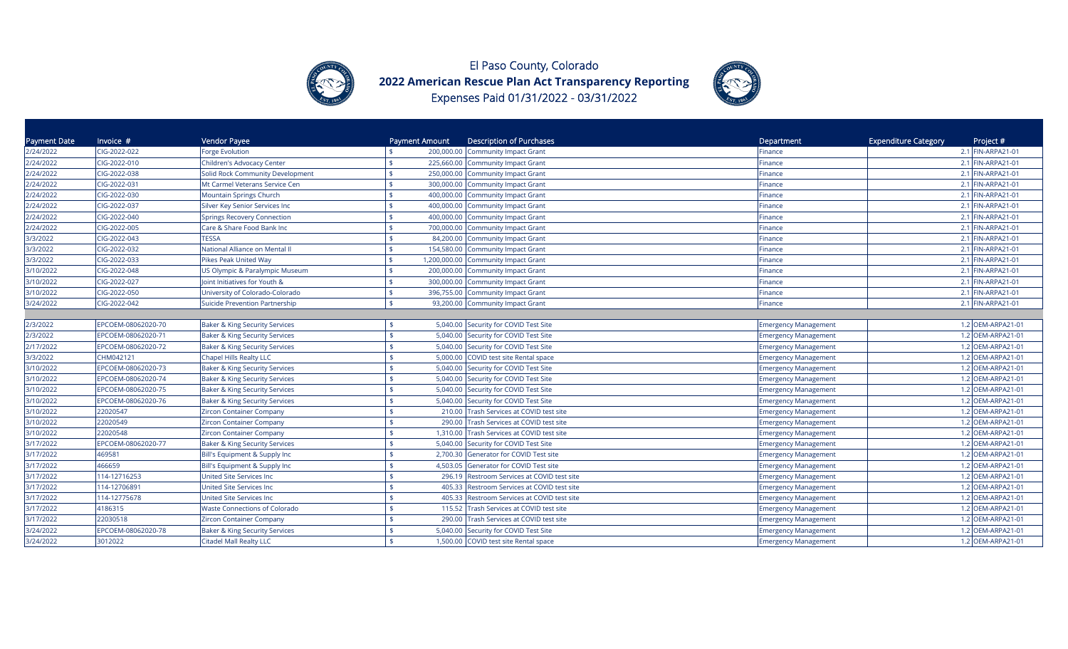



| <b>Payment Date</b> | Invoice #          | Vendor Payee                              | Payment Amount     | <b>Description of Purchases</b>             | Department                  | <b>Expenditure Category</b><br>Project # |
|---------------------|--------------------|-------------------------------------------|--------------------|---------------------------------------------|-----------------------------|------------------------------------------|
| 2/24/2022           | CIG-2022-022       | <b>Forge Evolution</b>                    |                    | 200,000.00 Community Impact Grant           | Finance                     | 2.1 FIN-ARPA21-01                        |
| 2/24/2022           | CIG-2022-010       | Children's Advocacy Center                |                    | 225,660.00 Community Impact Grant           | Finance                     | 2.1 FIN-ARPA21-01                        |
| 2/24/2022           | CIG-2022-038       | Solid Rock Community Development          |                    | 250,000.00 Community Impact Grant           | Finance                     | 2.1 FIN-ARPA21-01                        |
| 2/24/2022           | CIG-2022-031       | Mt Carmel Veterans Service Cen            | \$                 | 300,000.00 Community Impact Grant           | Finance                     | 2.1 FIN-ARPA21-01                        |
| 2/24/2022           | CIG-2022-030       | Mountain Springs Church                   |                    | 400,000.00 Community Impact Grant           | Finance                     | 2.1 FIN-ARPA21-01                        |
| 2/24/2022           | CIG-2022-037       | Silver Key Senior Services Inc            |                    | 400,000.00 Community Impact Grant           | Finance                     | 2.1 FIN-ARPA21-01                        |
| 2/24/2022           | CIG-2022-040       | <b>Springs Recovery Connection</b>        |                    | 400,000.00 Community Impact Grant           | Finance                     | 2.1 FIN-ARPA21-01                        |
| 2/24/2022           | CIG-2022-005       | Care & Share Food Bank Inc                |                    | 700,000.00 Community Impact Grant           | Finance                     | 2.1 FIN-ARPA21-01                        |
| 3/3/2022            | CIG-2022-043       | <b>TESSA</b>                              |                    | 84,200.00 Community Impact Grant            | Finance                     | 2.1 FIN-ARPA21-01                        |
| 3/3/2022            | CIG-2022-032       | National Alliance on Mental II            |                    | 154,580.00 Community Impact Grant           | Finance                     | 2.1 FIN-ARPA21-01                        |
| 3/3/2022            | CIG-2022-033       | Pikes Peak United Way                     |                    | 1,200,000.00 Community Impact Grant         | Finance                     | 2.1 FIN-ARPA21-01                        |
| 3/10/2022           | CIG-2022-048       | US Olympic & Paralympic Museum            | \$                 | 200,000.00 Community Impact Grant           | Finance                     | 2.1 FIN-ARPA21-01                        |
| 3/10/2022           | CIG-2022-027       | Joint Initiatives for Youth &             | \$                 | 300,000.00 Community Impact Grant           | Finance                     | 2.1 FIN-ARPA21-01                        |
| 3/10/2022           | CIG-2022-050       | University of Colorado-Colorado           | \$                 | 396,755.00 Community Impact Grant           | Finance                     | 2.1 FIN-ARPA21-01                        |
| 3/24/2022           | CIG-2022-042       | Suicide Prevention Partnership            | \$                 | 93,200.00 Community Impact Grant            | Finance                     | 2.1 FIN-ARPA21-01                        |
|                     |                    |                                           |                    |                                             |                             |                                          |
| 2/3/2022            | EPCOEM-08062020-70 | <b>Baker &amp; King Security Services</b> |                    | 5,040.00 Security for COVID Test Site       | <b>Emergency Management</b> | 1.2 OEM-ARPA21-01                        |
| 2/3/2022            | EPCOEM-08062020-71 | <b>Baker &amp; King Security Services</b> |                    | 5,040.00 Security for COVID Test Site       | <b>Emergency Management</b> | 1.2 OEM-ARPA21-01                        |
| 2/17/2022           | EPCOEM-08062020-72 | <b>Baker &amp; King Security Services</b> | \$                 | 5,040.00 Security for COVID Test Site       | <b>Emergency Management</b> | 1.2 OEM-ARPA21-01                        |
| 3/3/2022            | CHM042121          | Chapel Hills Realty LLC                   |                    | 5,000.00 COVID test site Rental space       | <b>Emergency Management</b> | 1.2 OEM-ARPA21-01                        |
| 3/10/2022           | EPCOEM-08062020-73 | <b>Baker &amp; King Security Services</b> |                    | 5,040.00 Security for COVID Test Site       | <b>Emergency Management</b> | 1.2 OEM-ARPA21-01                        |
| 3/10/2022           | EPCOEM-08062020-74 | <b>Baker &amp; King Security Services</b> |                    | 5,040.00 Security for COVID Test Site       | <b>Emergency Management</b> | 1.2 OEM-ARPA21-01                        |
| 3/10/2022           | EPCOEM-08062020-75 | Baker & King Security Services            |                    | 5,040.00 Security for COVID Test Site       | <b>Emergency Management</b> | 1.2 OEM-ARPA21-01                        |
| 3/10/2022           | EPCOEM-08062020-76 | Baker & King Security Services            |                    | 5,040.00 Security for COVID Test Site       | <b>Emergency Management</b> | 1.2 OEM-ARPA21-01                        |
| 3/10/2022           | 22020547           | <b>Zircon Container Company</b>           |                    | 210.00 Trash Services at COVID test site    | <b>Emergency Management</b> | 1.2 OEM-ARPA21-01                        |
| 3/10/2022           | 22020549           | <b>Zircon Container Company</b>           |                    | 290.00 Trash Services at COVID test site    | <b>Emergency Management</b> | 1.2 OEM-ARPA21-01                        |
| 3/10/2022           | 22020548           | <b>Zircon Container Company</b>           | $\mathbf{\hat{S}}$ | 1,310.00 Trash Services at COVID test site  | <b>Emergency Management</b> | 1.2 OEM-ARPA21-01                        |
| 3/17/2022           | EPCOEM-08062020-77 | <b>Baker &amp; King Security Services</b> | $\mathbf{\hat{S}}$ | 5,040.00 Security for COVID Test Site       | <b>Emergency Management</b> | 1.2 OEM-ARPA21-01                        |
| 3/17/2022           | 469581             | Bill's Equipment & Supply Inc             | $\ddot{\bm{\tau}}$ | 2,700.30 Generator for COVID Test site      | <b>Emergency Management</b> | 1.2 OEM-ARPA21-01                        |
| 3/17/2022           | 466659             | Bill's Equipment & Supply Inc             |                    | 4,503.05 Generator for COVID Test site      | <b>Emergency Management</b> | 1.2 OEM-ARPA21-01                        |
| 3/17/2022           | 114-12716253       | United Site Services Inc                  |                    | 296.19 Restroom Services at COVID test site | <b>Emergency Management</b> | 1.2 OEM-ARPA21-01                        |
| 3/17/2022           | 114-12706891       | United Site Services Inc                  |                    | 405.33 Restroom Services at COVID test site | <b>Emergency Management</b> | 1.2 OEM-ARPA21-01                        |
| 3/17/2022           | 114-12775678       | United Site Services Inc                  | 405.33             | Restroom Services at COVID test site        | <b>Emergency Management</b> | 1.2 OEM-ARPA21-01                        |
| 3/17/2022           | 4186315            | <b>Waste Connections of Colorado</b>      |                    | 115.52 Trash Services at COVID test site    | <b>Emergency Management</b> | 1.2 OEM-ARPA21-01                        |
| 3/17/2022           | 22030518           | <b>Zircon Container Company</b>           | 290.00             | Trash Services at COVID test site           | <b>Emergency Management</b> | 1.2 OEM-ARPA21-01                        |
| 3/24/2022           | EPCOEM-08062020-78 | Baker & King Security Services            |                    | 5,040.00 Security for COVID Test Site       | <b>Emergency Management</b> | 1.2 OEM-ARPA21-01                        |
| 3/24/2022           | 3012022            | Citadel Mall Realty LLC                   |                    | 1,500.00 COVID test site Rental space       | <b>Emergency Management</b> | 1.2 OEM-ARPA21-01                        |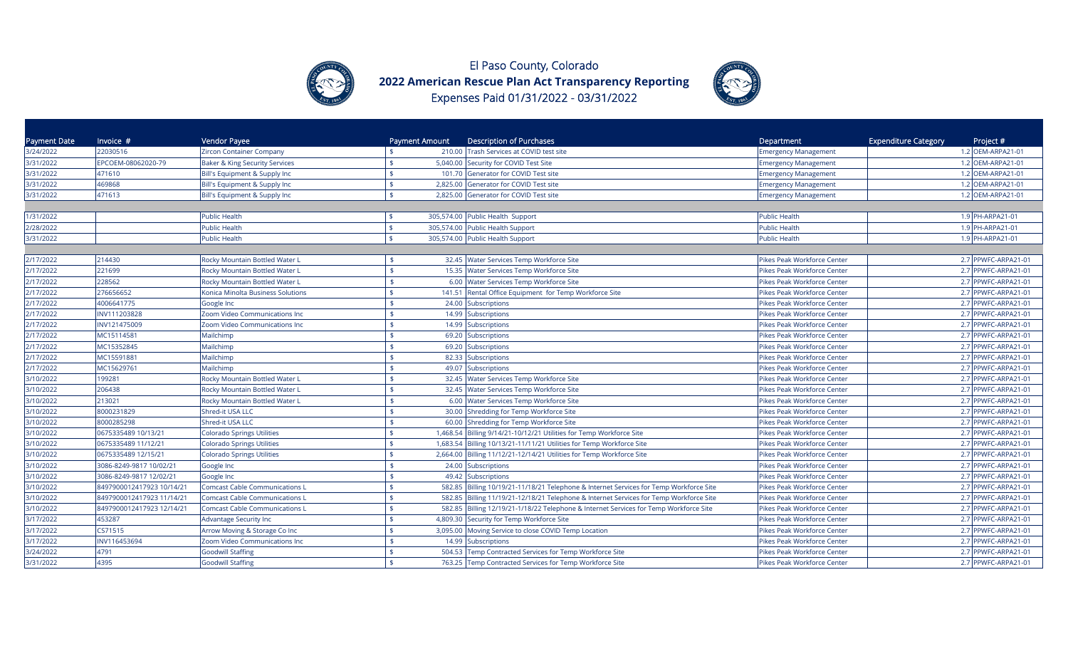



| Payment Date | Invoice $#$               | Vendor Payee                              | Payment Amount | <b>Description of Purchases</b>                                                        | Department                  | <b>Expenditure Category</b><br>Project # |
|--------------|---------------------------|-------------------------------------------|----------------|----------------------------------------------------------------------------------------|-----------------------------|------------------------------------------|
| 3/24/2022    | 22030516                  | Zircon Container Company                  |                | 210.00 Trash Services at COVID test site                                               | <b>Emergency Management</b> | 1.2 OEM-ARPA21-01                        |
| 3/31/2022    | EPCOEM-08062020-79        | <b>Baker &amp; King Security Services</b> |                | 5,040.00 Security for COVID Test Site                                                  | <b>Emergency Management</b> | 1.2 OEM-ARPA21-01                        |
| 3/31/2022    | 471610                    | Bill's Equipment & Supply Inc             |                | 101.70 Generator for COVID Test site                                                   | <b>Emergency Management</b> | 1.2 OEM-ARPA21-01                        |
| 3/31/2022    | 469868                    | Bill's Equipment & Supply Inc             |                | 2,825.00 Generator for COVID Test site                                                 | <b>Emergency Management</b> | 1.2 OEM-ARPA21-01                        |
| 3/31/2022    | 471613                    | Bill's Equipment & Supply Inc             |                | 2,825.00 Generator for COVID Test site                                                 | <b>Emergency Management</b> | 1.2 OEM-ARPA21-01                        |
| 1/31/2022    |                           | <b>Public Health</b>                      |                | 305,574.00 Public Health Support                                                       | <b>Public Health</b>        | 1.9 PH-ARPA21-01                         |
| 2/28/2022    |                           | <b>Public Health</b>                      |                | 305,574.00 Public Health Support                                                       | Public Health               | 1.9 PH-ARPA21-01                         |
| 3/31/2022    |                           | <b>Public Health</b>                      |                | 305,574.00 Public Health Support                                                       | <b>Public Health</b>        | 1.9 PH-ARPA21-01                         |
|              |                           |                                           |                |                                                                                        |                             |                                          |
| 2/17/2022    | 214430                    | Rocky Mountain Bottled Water L            |                | 32.45 Water Services Temp Workforce Site                                               | Pikes Peak Workforce Center | 2.7 PPWFC-ARPA21-01                      |
| 2/17/2022    | 221699                    | Rocky Mountain Bottled Water L            |                | 15.35 Water Services Temp Workforce Site                                               | Pikes Peak Workforce Center | 2.7 PPWFC-ARPA21-01                      |
| 2/17/2022    | 228562                    | Rocky Mountain Bottled Water L            |                | 6.00 Water Services Temp Workforce Site                                                | Pikes Peak Workforce Center | 2.7 PPWFC-ARPA21-01                      |
| 2/17/2022    | 276656652                 | Konica Minolta Business Solutions         |                | 141.51 Rental Office Equipment for Temp Workforce Site                                 | Pikes Peak Workforce Center | 2.7 PPWFC-ARPA21-01                      |
| 2/17/2022    | 4006641775                | Google Inc                                |                | 24.00 Subscriptions                                                                    | Pikes Peak Workforce Center | 2.7 PPWFC-ARPA21-01                      |
| 2/17/2022    | INV111203828              | Zoom Video Communications Inc             |                | 14.99 Subscriptions                                                                    | Pikes Peak Workforce Center | 2.7 PPWFC-ARPA21-01                      |
| 2/17/2022    | INV121475009              | Zoom Video Communications Inc             |                | 14.99 Subscriptions                                                                    | Pikes Peak Workforce Center | 2.7 PPWFC-ARPA21-01                      |
| 2/17/2022    | MC15114581                | Mailchimp                                 |                | 69.20 Subscriptions                                                                    | Pikes Peak Workforce Center | 2.7 PPWFC-ARPA21-01                      |
| 2/17/2022    | MC15352845                | Mailchimp                                 |                | 69.20 Subscriptions                                                                    | Pikes Peak Workforce Center | 2.7 PPWFC-ARPA21-01                      |
| 2/17/2022    | MC15591881                | Mailchimp                                 |                | 82.33 Subscriptions                                                                    | Pikes Peak Workforce Center | 2.7 PPWFC-ARPA21-01                      |
| 2/17/2022    | MC15629761                | Mailchimp                                 |                | 49.07 Subscriptions                                                                    | Pikes Peak Workforce Center | 2.7 PPWFC-ARPA21-01                      |
| 3/10/2022    | 199281                    | Rocky Mountain Bottled Water L            |                | 32.45 Water Services Temp Workforce Site                                               | Pikes Peak Workforce Center | 2.7 PPWFC-ARPA21-01                      |
| 3/10/2022    | 206438                    | Rocky Mountain Bottled Water L            |                | 32.45 Water Services Temp Workforce Site                                               | Pikes Peak Workforce Center | 2.7 PPWFC-ARPA21-01                      |
| 3/10/2022    | 213021                    | Rocky Mountain Bottled Water L            |                | 6.00 Water Services Temp Workforce Site                                                | Pikes Peak Workforce Center | 2.7 PPWFC-ARPA21-01                      |
| 3/10/2022    | 8000231829                | Shred-it USA LLC                          |                | 30.00 Shredding for Temp Workforce Site                                                | Pikes Peak Workforce Center | 2.7 PPWFC-ARPA21-01                      |
| 3/10/2022    | 8000285298                | Shred-it USA LLC                          |                | 60.00 Shredding for Temp Workforce Site                                                | Pikes Peak Workforce Center | 2.7 PPWFC-ARPA21-01                      |
| 3/10/2022    | 0675335489 10/13/21       | Colorado Springs Utilities                |                | 1,468.54 Billing 9/14/21-10/12/21 Utilities for Temp Workforce Site                    | Pikes Peak Workforce Center | 2.7 PPWFC-ARPA21-01                      |
| 3/10/2022    | 0675335489 11/12/21       | Colorado Springs Utilities                |                | 1,683.54 Billing 10/13/21-11/11/21 Utilities for Temp Workforce Site                   | Pikes Peak Workforce Center | 2.7 PPWFC-ARPA21-01                      |
| 3/10/2022    | 0675335489 12/15/21       | <b>Colorado Springs Utilities</b>         |                | 2,664.00 Billing 11/12/21-12/14/21 Utilities for Temp Workforce Site                   | Pikes Peak Workforce Center | 2.7 PPWFC-ARPA21-01                      |
| 3/10/2022    | 3086-8249-9817 10/02/21   | Google Inc                                |                | 24.00 Subscriptions                                                                    | Pikes Peak Workforce Center | 2.7 PPWFC-ARPA21-01                      |
| 3/10/2022    | 3086-8249-9817 12/02/21   | Google Inc                                |                | 49.42 Subscriptions                                                                    | Pikes Peak Workforce Center | 2.7 PPWFC-ARPA21-01                      |
| 3/10/2022    | 8497900012417923 10/14/21 | <b>Comcast Cable Communications L</b>     |                | 582.85 Billing 10/19/21-11/18/21 Telephone & Internet Services for Temp Workforce Site | Pikes Peak Workforce Center | 2.7 PPWFC-ARPA21-01                      |
| 3/10/2022    | 8497900012417923 11/14/21 | <b>Comcast Cable Communications L</b>     |                | 582.85 Billing 11/19/21-12/18/21 Telephone & Internet Services for Temp Workforce Site | Pikes Peak Workforce Center | 2.7 PPWFC-ARPA21-01                      |
| 3/10/2022    | 8497900012417923 12/14/21 | <b>Comcast Cable Communications L</b>     |                | 582.85 Billing 12/19/21-1/18/22 Telephone & Internet Services for Temp Workforce Site  | Pikes Peak Workforce Center | 2.7 PPWFC-ARPA21-01                      |
| 3/17/2022    | 453287                    | Advantage Security Inc                    |                | 4,809.30 Security for Temp Workforce Site                                              | Pikes Peak Workforce Center | 2.7 PPWFC-ARPA21-01                      |
| 3/17/2022    | CS71515                   | Arrow Moving & Storage Co Inc             | 3,095.00       | Moving Service to close COVID Temp Location                                            | Pikes Peak Workforce Center | 2.7 PPWFC-ARPA21-01                      |
| 3/17/2022    | INV116453694              | Zoom Video Communications Inc             |                | 14.99 Subscriptions                                                                    | Pikes Peak Workforce Center | 2.7 PPWFC-ARPA21-01                      |
| 3/24/2022    | 4791                      | <b>Goodwill Staffing</b>                  |                | 504.53 Temp Contracted Services for Temp Workforce Site                                | Pikes Peak Workforce Center | 2.7 PPWFC-ARPA21-01                      |
| 3/31/2022    | 4395                      | <b>Goodwill Staffing</b>                  |                | 763.25 Temp Contracted Services for Temp Workforce Site                                | Pikes Peak Workforce Center | 2.7 PPWFC-ARPA21-01                      |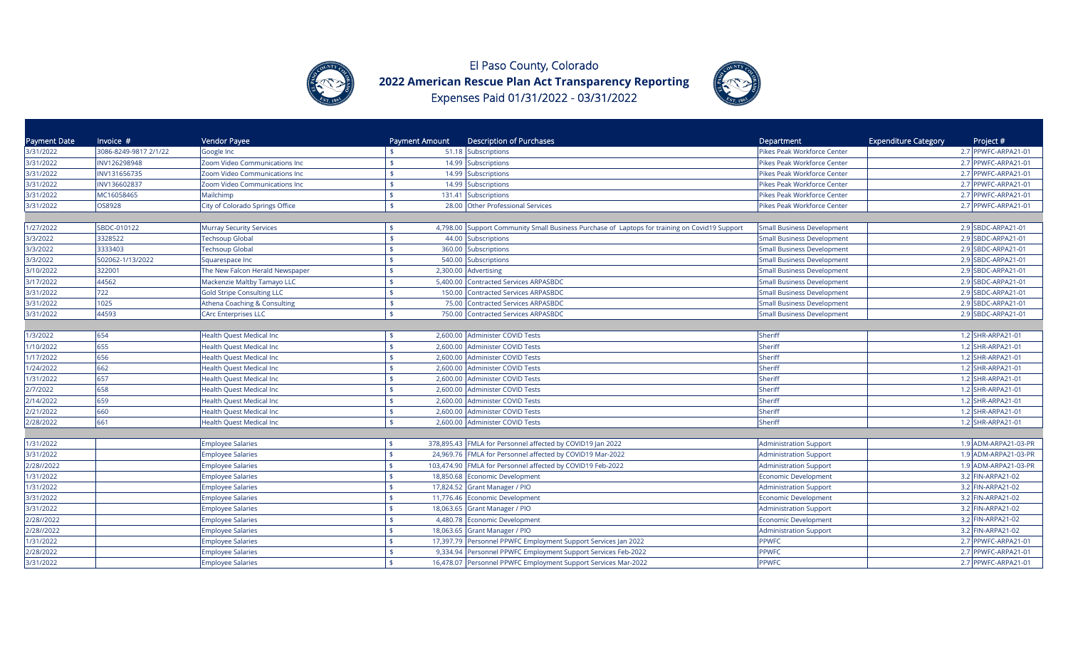



| <b>Payment Date</b> | Invoice #             | Vendor Payee                      | Payment Amount               | <b>Description of Purchases</b>                                                               | Department                        | <b>Expenditure Category</b> | Project #            |
|---------------------|-----------------------|-----------------------------------|------------------------------|-----------------------------------------------------------------------------------------------|-----------------------------------|-----------------------------|----------------------|
| 3/31/2022           | 3086-8249-9817 2/1/22 | Google Inc                        |                              | 51.18 Subscriptions                                                                           | Pikes Peak Workforce Center       |                             | 2.7 PPWFC-ARPA21-01  |
| 3/31/2022           | INV126298948          | Zoom Video Communications Inc     |                              | 14.99 Subscriptions                                                                           | Pikes Peak Workforce Center       |                             | 2.7 PPWFC-ARPA21-01  |
| 3/31/2022           | INV131656735          | Zoom Video Communications Inc     | $\mathbf{F}$                 | 14.99 Subscriptions                                                                           | Pikes Peak Workforce Center       |                             | 2.7 PPWFC-ARPA21-01  |
| 3/31/2022           | INV136602837          | Zoom Video Communications Inc     |                              | 14.99 Subscriptions                                                                           | Pikes Peak Workforce Center       |                             | 2.7 PPWFC-ARPA21-01  |
| 3/31/2022           | MC16058465            | Mailchimp                         |                              | 131.41 Subscriptions                                                                          | Pikes Peak Workforce Center       |                             | 2.7 PPWFC-ARPA21-01  |
| 3/31/2022           | OS8928                | City of Colorado Springs Office   | $\mathbf{\$}$                | 28.00 Other Professional Services                                                             | Pikes Peak Workforce Center       |                             | 2.7 PPWFC-ARPA21-01  |
|                     |                       |                                   |                              |                                                                                               |                                   |                             |                      |
| 1/27/2022           | SBDC-010122           | <b>Murray Security Services</b>   |                              | 4,798.00 Support Community Small Business Purchase of Laptops for training on Covid19 Support | <b>Small Business Development</b> |                             | 2.9 SBDC-ARPA21-01   |
| 3/3/2022            | 3328522               | <b>Techsoup Global</b>            | $\mathbf{\$}$                | 44.00 Subscriptions                                                                           | <b>Small Business Development</b> |                             | 2.9 SBDC-ARPA21-01   |
| 3/3/2022            | 3333403               | <b>Techsoup Global</b>            | $\ddot{\bm{\zeta}}$          | 360.00 Subscriptions                                                                          | <b>Small Business Development</b> |                             | 2.9 SBDC-ARPA21-01   |
| 3/3/2022            | 502062-1/13/2022      | Squarespace Inc                   |                              | 540.00 Subscriptions                                                                          | <b>Small Business Development</b> |                             | 2.9 SBDC-ARPA21-01   |
| 3/10/2022           | 322001                | The New Falcon Herald Newspaper   | $\ddot{\bm{\tau}}$           | 2,300.00 Advertising                                                                          | <b>Small Business Development</b> |                             | 2.9 SBDC-ARPA21-01   |
| 3/17/2022           | 44562                 | Mackenzie Maltby Tamayo LLC       | 5,400.00                     | Contracted Services ARPASBDC                                                                  | <b>Small Business Development</b> |                             | 2.9 SBDC-ARPA21-01   |
| 3/31/2022           | 722                   | <b>Gold Stripe Consulting LLC</b> | 150.00<br>$\ddot{\bm{\tau}}$ | <b>Contracted Services ARPASBDC</b>                                                           | <b>Small Business Development</b> |                             | 2.9 SBDC-ARPA21-01   |
| 3/31/2022           | 1025                  | Athena Coaching & Consulting      | \$                           | 75.00 Contracted Services ARPASBDC                                                            | <b>Small Business Development</b> |                             | 2.9 SBDC-ARPA21-01   |
| 3/31/2022           | 44593                 | <b>CArc Enterprises LLC</b>       | $\ddot{\bm{\zeta}}$          | 750.00 Contracted Services ARPASBDC                                                           | <b>Small Business Development</b> |                             | 2.9 SBDC-ARPA21-01   |
|                     |                       |                                   |                              |                                                                                               |                                   |                             |                      |
| 1/3/2022            | 654                   | <b>Health Quest Medical Inc</b>   | \$                           | 2,600.00 Administer COVID Tests                                                               | Sheriff                           |                             | 1.2 SHR-ARPA21-01    |
| 1/10/2022           | 655                   | <b>Health Quest Medical Inc</b>   | \$                           | 2,600.00 Administer COVID Tests                                                               | Sheriff                           |                             | 1.2 SHR-ARPA21-01    |
| 1/17/2022           | 656                   | <b>Health Quest Medical Inc</b>   | 2,600.00                     | <b>Administer COVID Tests</b>                                                                 | Sheriff                           |                             | 1.2 SHR-ARPA21-01    |
| 1/24/2022           | 662                   | <b>Health Quest Medical Inc</b>   | \$                           | 2,600.00 Administer COVID Tests                                                               | Sheriff                           |                             | 1.2 SHR-ARPA21-01    |
| 1/31/2022           | 657                   | <b>Health Quest Medical Inc</b>   |                              | 2,600.00 Administer COVID Tests                                                               | Sheriff                           |                             | 1.2 SHR-ARPA21-01    |
| 2/7/2022            | 658                   | <b>Health Quest Medical Inc</b>   |                              | 2,600.00 Administer COVID Tests                                                               | Sheriff                           |                             | 1.2 SHR-ARPA21-01    |
| 2/14/2022           | 659                   | <b>Health Quest Medical Inc</b>   |                              | 2,600.00 Administer COVID Tests                                                               | Sheriff                           |                             | 1.2 SHR-ARPA21-01    |
| 2/21/2022           | 660                   | <b>Health Quest Medical Inc</b>   | $\mathbf{\hat{S}}$           | 2,600.00 Administer COVID Tests                                                               | Sheriff                           |                             | 1.2 SHR-ARPA21-01    |
| 2/28/2022           | 661                   | <b>Health Quest Medical Inc</b>   | $\triangle$                  | 2,600.00 Administer COVID Tests                                                               | Sheriff                           |                             | 1.2 SHR-ARPA21-01    |
|                     |                       |                                   |                              |                                                                                               |                                   |                             |                      |
| 1/31/2022           |                       | <b>Employee Salaries</b>          |                              | 378,895.43 FMLA for Personnel affected by COVID19 Jan 2022                                    | <b>Administration Support</b>     |                             | 1.9 ADM-ARPA21-03-PR |
| 3/31/2022           |                       | <b>Employee Salaries</b>          | \$                           | 24,969.76 FMLA for Personnel affected by COVID19 Mar-2022                                     | <b>Administration Support</b>     |                             | 1.9 ADM-ARPA21-03-PR |
| 2/28//2022          |                       | <b>Employee Salaries</b>          |                              | 103,474.90 FMLA for Personnel affected by COVID19 Feb-2022                                    | <b>Administration Support</b>     |                             | 1.9 ADM-ARPA21-03-PR |
| 1/31/2022           |                       | <b>Employee Salaries</b>          | 18,850.68                    | <b>Economic Development</b>                                                                   | <b>Economic Development</b>       |                             | 3.2 FIN-ARPA21-02    |
| 1/31/2022           |                       | <b>Employee Salaries</b>          | 17,824.52                    | <b>Grant Manager / PIO</b>                                                                    | <b>Administration Support</b>     |                             | 3.2 FIN-ARPA21-02    |
| 3/31/2022           |                       | <b>Employee Salaries</b>          | \$<br>11,776.46              | <b>Economic Development</b>                                                                   | <b>Economic Development</b>       |                             | 3.2 FIN-ARPA21-02    |
| 3/31/2022           |                       | <b>Employee Salaries</b>          |                              | 18,063.65 Grant Manager / PIO                                                                 | <b>Administration Support</b>     |                             | 3.2 FIN-ARPA21-02    |
| 2/28//2022          |                       | <b>Employee Salaries</b>          | 4,480.78                     | Economic Development                                                                          | <b>Economic Development</b>       |                             | 3.2 FIN-ARPA21-02    |
| 2/28//2022          |                       | <b>Employee Salaries</b>          | \$                           | 18,063.65 Grant Manager / PIO                                                                 | <b>Administration Support</b>     |                             | 3.2 FIN-ARPA21-02    |
| 1/31/2022           |                       | <b>Employee Salaries</b>          | 17,397.79                    | Personnel PPWFC Employment Support Services Jan 2022                                          | <b>PPWFC</b>                      |                             | 2.7 PPWFC-ARPA21-01  |
| 2/28/2022           |                       | <b>Employee Salaries</b>          | $\frac{4}{5}$                | 9,334.94 Personnel PPWFC Employment Support Services Feb-2022                                 | <b>PPWFC</b>                      |                             | 2.7 PPWFC-ARPA21-01  |
| 3/31/2022           |                       | <b>Employee Salaries</b>          |                              | 16,478.07 Personnel PPWFC Employment Support Services Mar-2022                                | <b>PPWFC</b>                      |                             | 2.7 PPWFC-ARPA21-01  |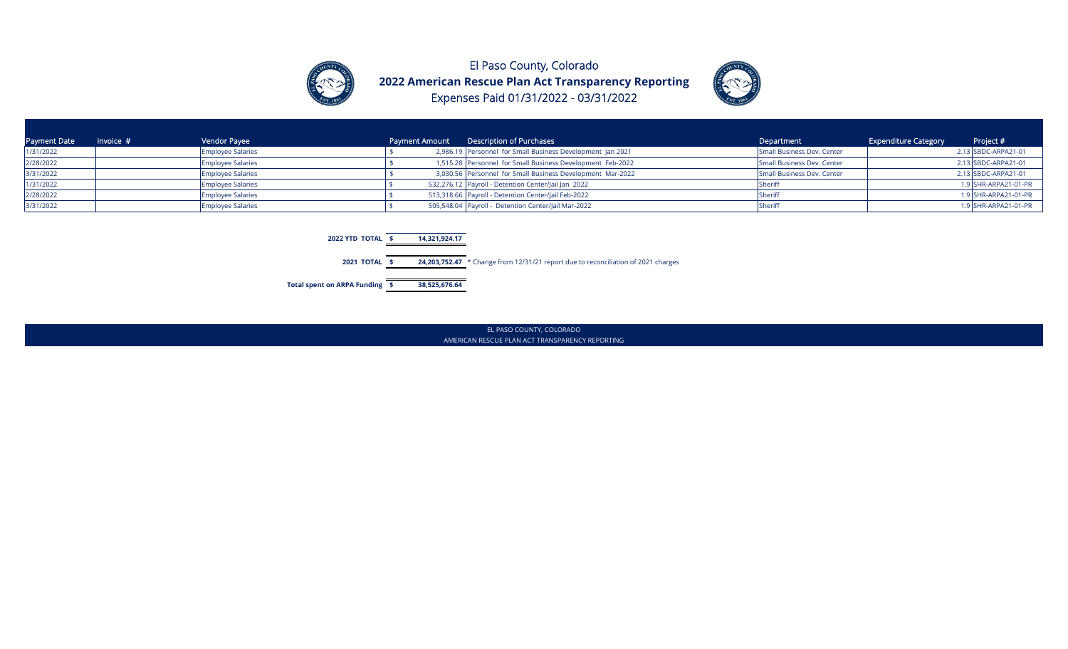



| <b>Payment Date</b> | Invoice $#$ | Vendor Payee             |  | Payment Amount Description of Purchases                    | Department                 | <b>Expenditure Category</b> | Project #            |
|---------------------|-------------|--------------------------|--|------------------------------------------------------------|----------------------------|-----------------------------|----------------------|
| 1/31/2022           |             | <b>Employee Salaries</b> |  | 2,986.19 Personnel for Small Business Development Jan 2021 | Small Business Dev. Center |                             | 2.13 SBDC-ARPA21-01  |
| 2/28/2022           |             | <b>Employee Salaries</b> |  | 1,515.28 Personnel for Small Business Development Feb-2022 | Small Business Dev. Center |                             | 2.13 SBDC-ARPA21-01  |
| 3/31/2022           |             | <b>Employee Salaries</b> |  | 3,030.56 Personnel for Small Business Development Mar-2022 | Small Business Dev. Center |                             | 2.13 SBDC-ARPA21-01  |
| 1/31/2022           |             | <b>Employee Salaries</b> |  | 532,276.12 Payroll - Detention Center/Jail Jan 2022        |                            |                             | 1.9 SHR-ARPA21-01-PR |
| 2/28/2022           |             | <b>Employee Salaries</b> |  | 513,318.66 Payroll - Detention Center/Jail Feb-2022        | <b>Sherin</b>              |                             | 1.9 SHR-ARPA21-01-PR |
| 3/31/2022           |             | <b>Employee Salaries</b> |  | 505,548.04 Payroll - Detention Center/Jail Mar-2022        | <b>I</b> Sherif            |                             | 1.9 SHR-ARPA21-01-PR |



EL PASO COUNTY, COLORADO AMERICAN RESCUE PLAN ACT TRANSPARENCY REPORTING